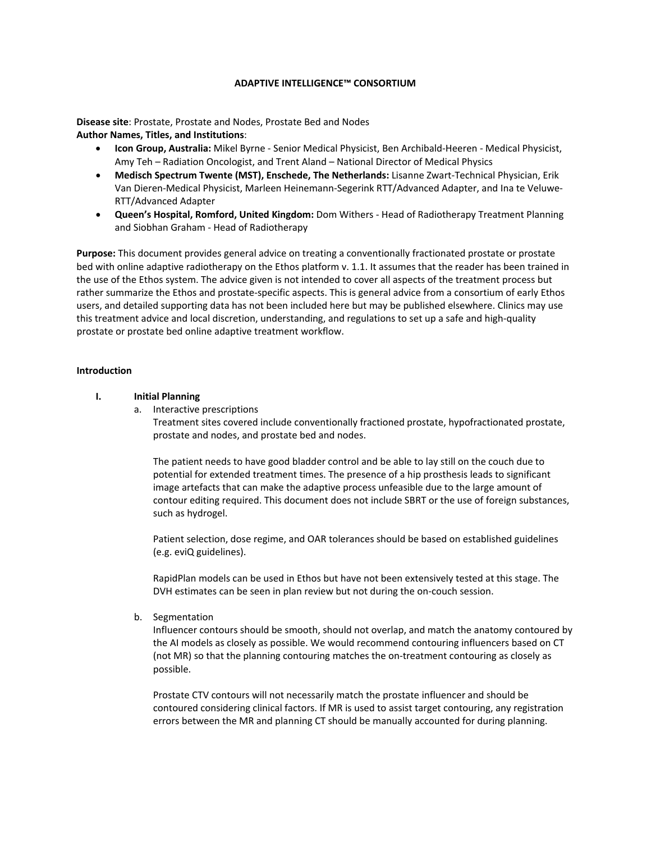# **ADAPTIVE INTELLIGENCE™ CONSORTIUM**

**Disease site**: Prostate, Prostate and Nodes, Prostate Bed and Nodes **Author Names, Titles, and Institutions**:

- **Icon Group, Australia:** Mikel Byrne Senior Medical Physicist, Ben Archibald-Heeren Medical Physicist, Amy Teh – Radiation Oncologist, and Trent Aland – National Director of Medical Physics
- **Medisch Spectrum Twente (MST), Enschede, The Netherlands:** Lisanne Zwart-Technical Physician, Erik Van Dieren-Medical Physicist, Marleen Heinemann-Segerink RTT/Advanced Adapter, and Ina te Veluwe-RTT/Advanced Adapter
- **Queen's Hospital, Romford, United Kingdom:** Dom Withers Head of Radiotherapy Treatment Planning and Siobhan Graham - Head of Radiotherapy

**Purpose:** This document provides general advice on treating a conventionally fractionated prostate or prostate bed with online adaptive radiotherapy on the Ethos platform v. 1.1. It assumes that the reader has been trained in the use of the Ethos system. The advice given is not intended to cover all aspects of the treatment process but rather summarize the Ethos and prostate-specific aspects. This is general advice from a consortium of early Ethos users, and detailed supporting data has not been included here but may be published elsewhere. Clinics may use this treatment advice and local discretion, understanding, and regulations to set up a safe and high-quality prostate or prostate bed online adaptive treatment workflow.

#### **Introduction**

## **I. Initial Planning**

a. Interactive prescriptions

Treatment sites covered include conventionally fractioned prostate, hypofractionated prostate, prostate and nodes, and prostate bed and nodes.

The patient needs to have good bladder control and be able to lay still on the couch due to potential for extended treatment times. The presence of a hip prosthesis leads to significant image artefacts that can make the adaptive process unfeasible due to the large amount of contour editing required. This document does not include SBRT or the use of foreign substances, such as hydrogel.

Patient selection, dose regime, and OAR tolerances should be based on established guidelines (e.g. eviQ guidelines).

RapidPlan models can be used in Ethos but have not been extensively tested at this stage. The DVH estimates can be seen in plan review but not during the on-couch session.

b. Segmentation

Influencer contours should be smooth, should not overlap, and match the anatomy contoured by the AI models as closely as possible. We would recommend contouring influencers based on CT (not MR) so that the planning contouring matches the on-treatment contouring as closely as possible.

Prostate CTV contours will not necessarily match the prostate influencer and should be contoured considering clinical factors. If MR is used to assist target contouring, any registration errors between the MR and planning CT should be manually accounted for during planning.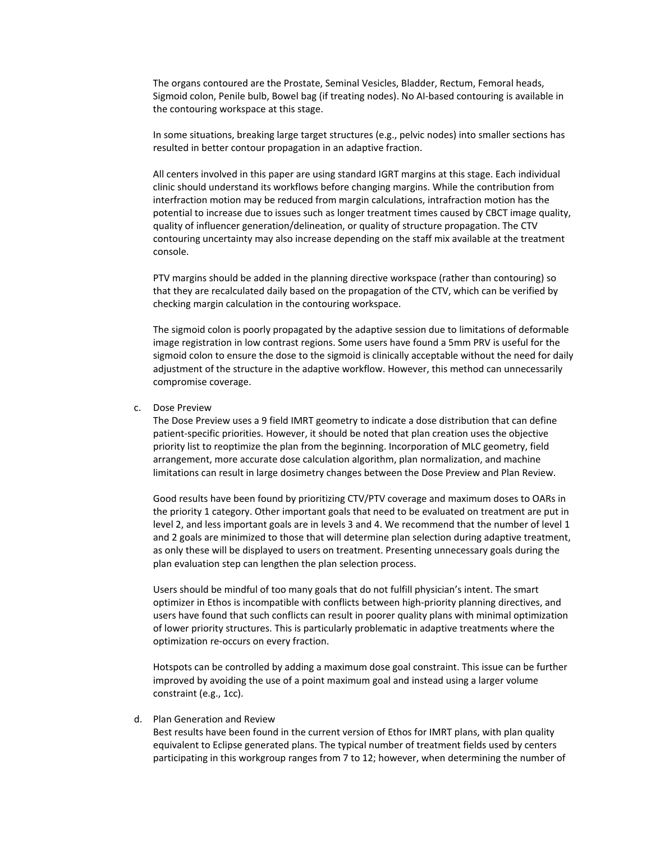The organs contoured are the Prostate, Seminal Vesicles, Bladder, Rectum, Femoral heads, Sigmoid colon, Penile bulb, Bowel bag (if treating nodes). No AI-based contouring is available in the contouring workspace at this stage.

In some situations, breaking large target structures (e.g., pelvic nodes) into smaller sections has resulted in better contour propagation in an adaptive fraction.

All centers involved in this paper are using standard IGRT margins at this stage. Each individual clinic should understand its workflows before changing margins. While the contribution from interfraction motion may be reduced from margin calculations, intrafraction motion has the potential to increase due to issues such as longer treatment times caused by CBCT image quality, quality of influencer generation/delineation, or quality of structure propagation. The CTV contouring uncertainty may also increase depending on the staff mix available at the treatment console.

PTV margins should be added in the planning directive workspace (rather than contouring) so that they are recalculated daily based on the propagation of the CTV, which can be verified by checking margin calculation in the contouring workspace.

The sigmoid colon is poorly propagated by the adaptive session due to limitations of deformable image registration in low contrast regions. Some users have found a 5mm PRV is useful for the sigmoid colon to ensure the dose to the sigmoid is clinically acceptable without the need for daily adjustment of the structure in the adaptive workflow. However, this method can unnecessarily compromise coverage.

c. Dose Preview

The Dose Preview uses a 9 field IMRT geometry to indicate a dose distribution that can define patient-specific priorities. However, it should be noted that plan creation uses the objective priority list to reoptimize the plan from the beginning. Incorporation of MLC geometry, field arrangement, more accurate dose calculation algorithm, plan normalization, and machine limitations can result in large dosimetry changes between the Dose Preview and Plan Review.

Good results have been found by prioritizing CTV/PTV coverage and maximum doses to OARs in the priority 1 category. Other important goals that need to be evaluated on treatment are put in level 2, and less important goals are in levels 3 and 4. We recommend that the number of level 1 and 2 goals are minimized to those that will determine plan selection during adaptive treatment, as only these will be displayed to users on treatment. Presenting unnecessary goals during the plan evaluation step can lengthen the plan selection process.

Users should be mindful of too many goals that do not fulfill physician's intent. The smart optimizer in Ethos is incompatible with conflicts between high-priority planning directives, and users have found that such conflicts can result in poorer quality plans with minimal optimization of lower priority structures. This is particularly problematic in adaptive treatments where the optimization re-occurs on every fraction.

Hotspots can be controlled by adding a maximum dose goal constraint. This issue can be further improved by avoiding the use of a point maximum goal and instead using a larger volume constraint (e.g., 1cc).

d. Plan Generation and Review

Best results have been found in the current version of Ethos for IMRT plans, with plan quality equivalent to Eclipse generated plans. The typical number of treatment fields used by centers participating in this workgroup ranges from 7 to 12; however, when determining the number of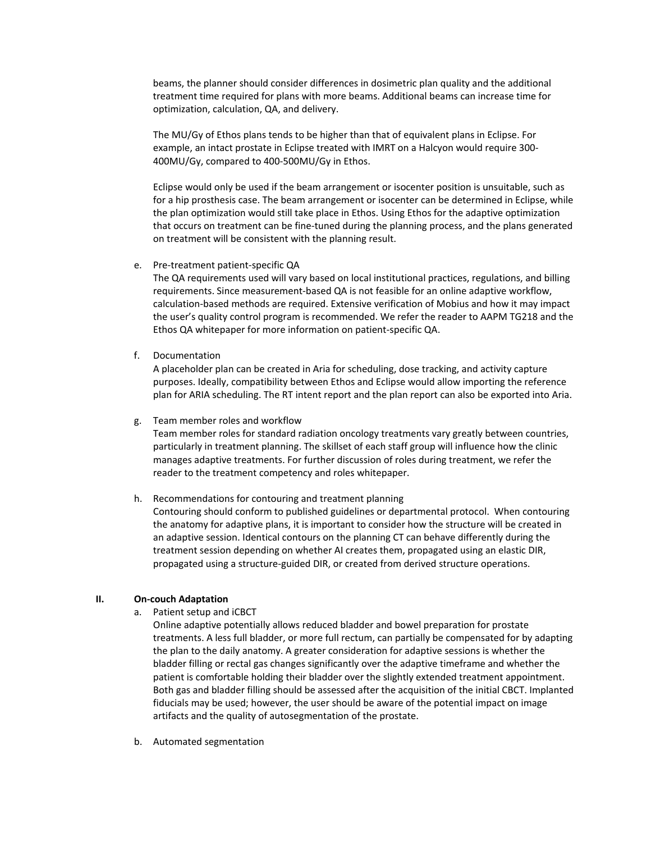beams, the planner should consider differences in dosimetric plan quality and the additional treatment time required for plans with more beams. Additional beams can increase time for optimization, calculation, QA, and delivery.

The MU/Gy of Ethos plans tends to be higher than that of equivalent plans in Eclipse. For example, an intact prostate in Eclipse treated with IMRT on a Halcyon would require 300- 400MU/Gy, compared to 400-500MU/Gy in Ethos.

Eclipse would only be used if the beam arrangement or isocenter position is unsuitable, such as for a hip prosthesis case. The beam arrangement or isocenter can be determined in Eclipse, while the plan optimization would still take place in Ethos. Using Ethos for the adaptive optimization that occurs on treatment can be fine-tuned during the planning process, and the plans generated on treatment will be consistent with the planning result.

e. Pre-treatment patient-specific QA

The QA requirements used will vary based on local institutional practices, regulations, and billing requirements. Since measurement-based QA is not feasible for an online adaptive workflow, calculation-based methods are required. Extensive verification of Mobius and how it may impact the user's quality control program is recommended. We refer the reader to AAPM TG218 and the Ethos QA whitepaper for more information on patient-specific QA.

f. Documentation

A placeholder plan can be created in Aria for scheduling, dose tracking, and activity capture purposes. Ideally, compatibility between Ethos and Eclipse would allow importing the reference plan for ARIA scheduling. The RT intent report and the plan report can also be exported into Aria.

### g. Team member roles and workflow

Team member roles for standard radiation oncology treatments vary greatly between countries, particularly in treatment planning. The skillset of each staff group will influence how the clinic manages adaptive treatments. For further discussion of roles during treatment, we refer the reader to the treatment competency and roles whitepaper.

## h. Recommendations for contouring and treatment planning

Contouring should conform to published guidelines or departmental protocol. When contouring the anatomy for adaptive plans, it is important to consider how the structure will be created in an adaptive session. Identical contours on the planning CT can behave differently during the treatment session depending on whether AI creates them, propagated using an elastic DIR, propagated using a structure-guided DIR, or created from derived structure operations.

## **II. On-couch Adaptation**

a. Patient setup and iCBCT

Online adaptive potentially allows reduced bladder and bowel preparation for prostate treatments. A less full bladder, or more full rectum, can partially be compensated for by adapting the plan to the daily anatomy. A greater consideration for adaptive sessions is whether the bladder filling or rectal gas changes significantly over the adaptive timeframe and whether the patient is comfortable holding their bladder over the slightly extended treatment appointment. Both gas and bladder filling should be assessed after the acquisition of the initial CBCT. Implanted fiducials may be used; however, the user should be aware of the potential impact on image artifacts and the quality of autosegmentation of the prostate.

b. Automated segmentation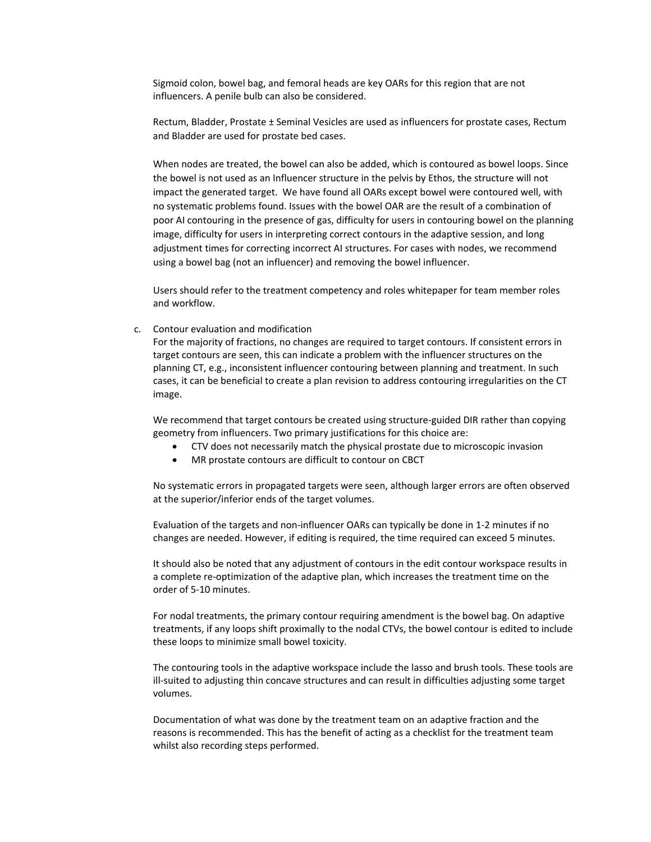Sigmoid colon, bowel bag, and femoral heads are key OARs for this region that are not influencers. A penile bulb can also be considered.

Rectum, Bladder, Prostate ± Seminal Vesicles are used as influencers for prostate cases, Rectum and Bladder are used for prostate bed cases.

When nodes are treated, the bowel can also be added, which is contoured as bowel loops. Since the bowel is not used as an Influencer structure in the pelvis by Ethos, the structure will not impact the generated target. We have found all OARs except bowel were contoured well, with no systematic problems found. Issues with the bowel OAR are the result of a combination of poor AI contouring in the presence of gas, difficulty for users in contouring bowel on the planning image, difficulty for users in interpreting correct contours in the adaptive session, and long adjustment times for correcting incorrect AI structures. For cases with nodes, we recommend using a bowel bag (not an influencer) and removing the bowel influencer.

Users should refer to the treatment competency and roles whitepaper for team member roles and workflow.

c. Contour evaluation and modification

For the majority of fractions, no changes are required to target contours. If consistent errors in target contours are seen, this can indicate a problem with the influencer structures on the planning CT, e.g., inconsistent influencer contouring between planning and treatment. In such cases, it can be beneficial to create a plan revision to address contouring irregularities on the CT image.

We recommend that target contours be created using structure-guided DIR rather than copying geometry from influencers. Two primary justifications for this choice are:

- CTV does not necessarily match the physical prostate due to microscopic invasion
- MR prostate contours are difficult to contour on CBCT

No systematic errors in propagated targets were seen, although larger errors are often observed at the superior/inferior ends of the target volumes.

Evaluation of the targets and non-influencer OARs can typically be done in 1-2 minutes if no changes are needed. However, if editing is required, the time required can exceed 5 minutes.

It should also be noted that any adjustment of contours in the edit contour workspace results in a complete re-optimization of the adaptive plan, which increases the treatment time on the order of 5-10 minutes.

For nodal treatments, the primary contour requiring amendment is the bowel bag. On adaptive treatments, if any loops shift proximally to the nodal CTVs, the bowel contour is edited to include these loops to minimize small bowel toxicity.

The contouring tools in the adaptive workspace include the lasso and brush tools. These tools are ill-suited to adjusting thin concave structures and can result in difficulties adjusting some target volumes.

Documentation of what was done by the treatment team on an adaptive fraction and the reasons is recommended. This has the benefit of acting as a checklist for the treatment team whilst also recording steps performed.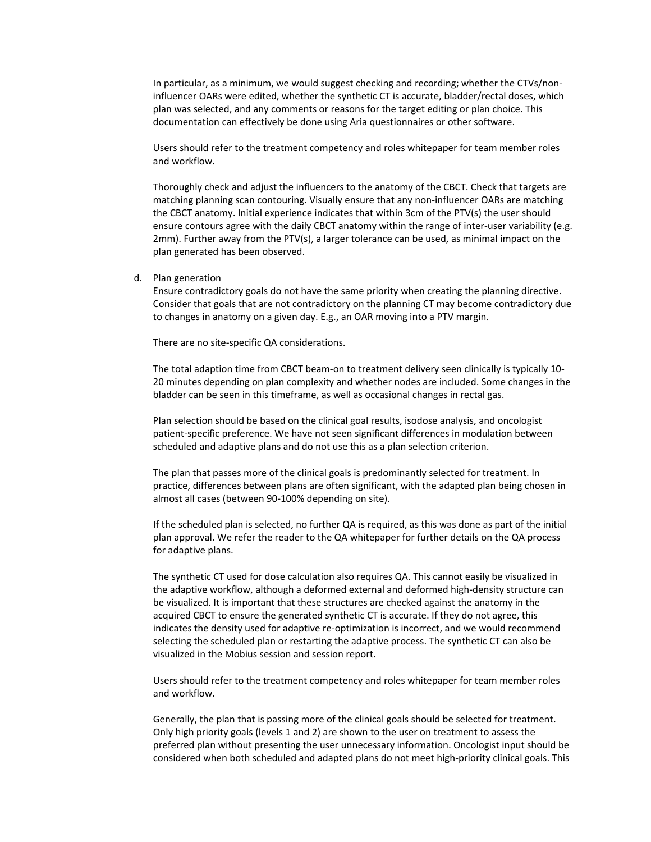In particular, as a minimum, we would suggest checking and recording; whether the CTVs/noninfluencer OARs were edited, whether the synthetic CT is accurate, bladder/rectal doses, which plan was selected, and any comments or reasons for the target editing or plan choice. This documentation can effectively be done using Aria questionnaires or other software.

Users should refer to the treatment competency and roles whitepaper for team member roles and workflow.

Thoroughly check and adjust the influencers to the anatomy of the CBCT. Check that targets are matching planning scan contouring. Visually ensure that any non-influencer OARs are matching the CBCT anatomy. Initial experience indicates that within 3cm of the PTV(s) the user should ensure contours agree with the daily CBCT anatomy within the range of inter-user variability (e.g. 2mm). Further away from the PTV(s), a larger tolerance can be used, as minimal impact on the plan generated has been observed.

d. Plan generation

Ensure contradictory goals do not have the same priority when creating the planning directive. Consider that goals that are not contradictory on the planning CT may become contradictory due to changes in anatomy on a given day. E.g., an OAR moving into a PTV margin.

There are no site-specific QA considerations.

The total adaption time from CBCT beam-on to treatment delivery seen clinically is typically 10- 20 minutes depending on plan complexity and whether nodes are included. Some changes in the bladder can be seen in this timeframe, as well as occasional changes in rectal gas.

Plan selection should be based on the clinical goal results, isodose analysis, and oncologist patient-specific preference. We have not seen significant differences in modulation between scheduled and adaptive plans and do not use this as a plan selection criterion.

The plan that passes more of the clinical goals is predominantly selected for treatment. In practice, differences between plans are often significant, with the adapted plan being chosen in almost all cases (between 90-100% depending on site).

If the scheduled plan is selected, no further QA is required, as this was done as part of the initial plan approval. We refer the reader to the QA whitepaper for further details on the QA process for adaptive plans.

The synthetic CT used for dose calculation also requires QA. This cannot easily be visualized in the adaptive workflow, although a deformed external and deformed high-density structure can be visualized. It is important that these structures are checked against the anatomy in the acquired CBCT to ensure the generated synthetic CT is accurate. If they do not agree, this indicates the density used for adaptive re-optimization is incorrect, and we would recommend selecting the scheduled plan or restarting the adaptive process. The synthetic CT can also be visualized in the Mobius session and session report.

Users should refer to the treatment competency and roles whitepaper for team member roles and workflow.

Generally, the plan that is passing more of the clinical goals should be selected for treatment. Only high priority goals (levels 1 and 2) are shown to the user on treatment to assess the preferred plan without presenting the user unnecessary information. Oncologist input should be considered when both scheduled and adapted plans do not meet high-priority clinical goals. This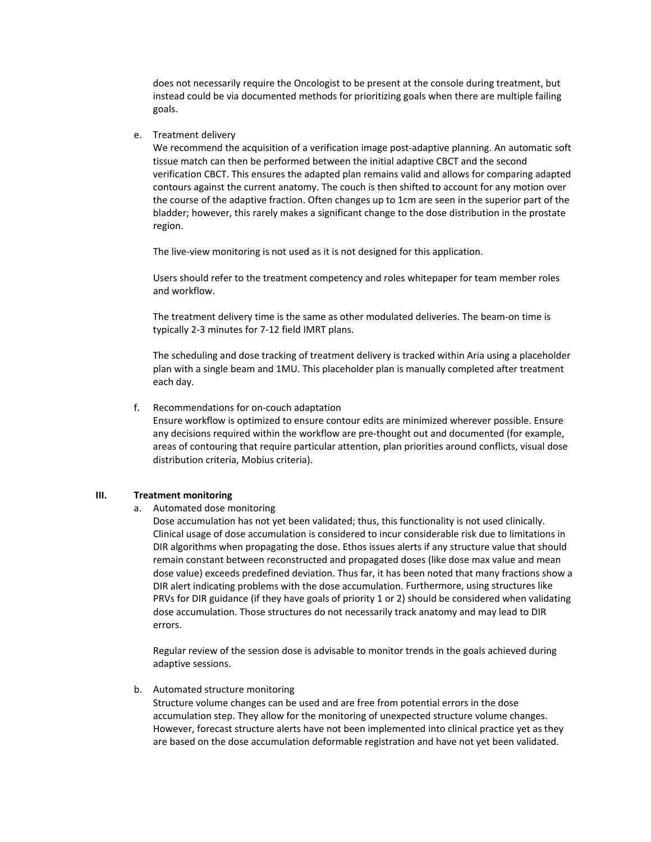does not necessarily require the Oncologist to be present at the console during treatment, but instead could be via documented methods for prioritizing goals when there are multiple failing goals.

### e. Treatment delivery

We recommend the acquisition of a verification image post-adaptive planning. An automatic soft tissue match can then be performed between the initial adaptive CBCT and the second verification CBCT. This ensures the adapted plan remains valid and allows for comparing adapted contours against the current anatomy. The couch is then shifted to account for any motion over the course of the adaptive fraction. Often changes up to 1cm are seen in the superior part of the bladder; however, this rarely makes a significant change to the dose distribution in the prostate region.

The live-view monitoring is not used as it is not designed for this application.

Users should refer to the treatment competency and roles whitepaper for team member roles and workflow.

The treatment delivery time is the same as other modulated deliveries. The beam-on time is typically 2-3 minutes for 7-12 field IMRT plans.

The scheduling and dose tracking of treatment delivery is tracked within Aria using a placeholder plan with a single beam and 1MU. This placeholder plan is manually completed after treatment each day.

#### f. Recommendations for on-couch adaptation

Ensure workflow is optimized to ensure contour edits are minimized wherever possible. Ensure any decisions required within the workflow are pre-thought out and documented (for example, areas of contouring that require particular attention, plan priorities around conflicts, visual dose distribution criteria, Mobius criteria).

#### **III. Treatment monitoring**

## a. Automated dose monitoring

Dose accumulation has not yet been validated; thus, this functionality is not used clinically. Clinical usage of dose accumulation is considered to incur considerable risk due to limitations in DIR algorithms when propagating the dose. Ethos issues alerts if any structure value that should remain constant between reconstructed and propagated doses (like dose max value and mean dose value) exceeds predefined deviation. Thus far, it has been noted that many fractions show a DIR alert indicating problems with the dose accumulation. Furthermore, using structures like PRVs for DIR guidance (if they have goals of priority 1 or 2) should be considered when validating dose accumulation. Those structures do not necessarily track anatomy and may lead to DIR errors.

Regular review of the session dose is advisable to monitor trends in the goals achieved during adaptive sessions.

#### b. Automated structure monitoring

Structure volume changes can be used and are free from potential errors in the dose accumulation step. They allow for the monitoring of unexpected structure volume changes. However, forecast structure alerts have not been implemented into clinical practice yet as they are based on the dose accumulation deformable registration and have not yet been validated.